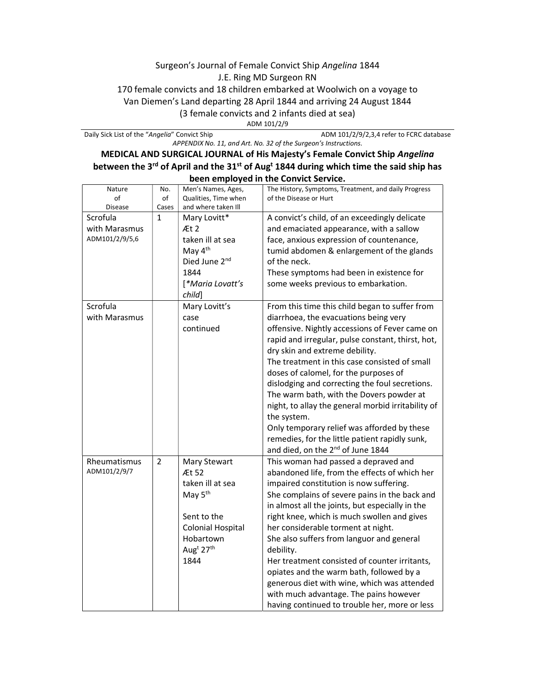## Surgeon's Journal of Female Convict Ship Angelina 1844 J.E. Ring MD Surgeon RN 170 female convicts and 18 children embarked at Woolwich on a voyage to Van Diemen's Land departing 28 April 1844 and arriving 24 August 1844 (3 female convicts and 2 infants died at sea) ADM 101/2/9

Daily Sick List of the "Angelia" Convict Ship ADM 101/2/9/2,3,4 refer to FCRC database APPENDIX No. 11, and Art. No. 32 of the Surgeon's Instructions.

## MEDICAL AND SURGICAL JOURNAL of His Majesty's Female Convict Ship Angelina between the 3<sup>rd</sup> of April and the 31<sup>st</sup> of Aug<sup>t</sup> 1844 during which time the said ship has been employed in the Convict Service.

| Nature<br>of   | No.<br>of      | Men's Names, Ages,<br>Qualities, Time when | The History, Symptoms, Treatment, and daily Progress<br>of the Disease or Hurt |
|----------------|----------------|--------------------------------------------|--------------------------------------------------------------------------------|
| <b>Disease</b> | Cases          | and where taken Ill                        |                                                                                |
| Scrofula       | $\mathbf{1}$   | Mary Lovitt*                               | A convict's child, of an exceedingly delicate                                  |
| with Marasmus  |                | Æt 2                                       | and emaciated appearance, with a sallow                                        |
| ADM101/2/9/5,6 |                | taken ill at sea                           | face, anxious expression of countenance,                                       |
|                |                | May 4 <sup>th</sup>                        | tumid abdomen & enlargement of the glands                                      |
|                |                | Died June 2nd                              | of the neck.                                                                   |
|                |                | 1844                                       | These symptoms had been in existence for                                       |
|                |                | [*Maria Lovatt's                           | some weeks previous to embarkation.                                            |
|                |                | child]                                     |                                                                                |
| Scrofula       |                | Mary Lovitt's                              | From this time this child began to suffer from                                 |
| with Marasmus  |                | case                                       | diarrhoea, the evacuations being very                                          |
|                |                | continued                                  | offensive. Nightly accessions of Fever came on                                 |
|                |                |                                            | rapid and irregular, pulse constant, thirst, hot,                              |
|                |                |                                            | dry skin and extreme debility.                                                 |
|                |                |                                            | The treatment in this case consisted of small                                  |
|                |                |                                            | doses of calomel, for the purposes of                                          |
|                |                |                                            | dislodging and correcting the foul secretions.                                 |
|                |                |                                            | The warm bath, with the Dovers powder at                                       |
|                |                |                                            | night, to allay the general morbid irritability of                             |
|                |                |                                            | the system.                                                                    |
|                |                |                                            | Only temporary relief was afforded by these                                    |
|                |                |                                            | remedies, for the little patient rapidly sunk,                                 |
|                |                |                                            | and died, on the 2 <sup>nd</sup> of June 1844                                  |
| Rheumatismus   | $\overline{2}$ | Mary Stewart                               | This woman had passed a depraved and                                           |
| ADM101/2/9/7   |                | Æt 52                                      | abandoned life, from the effects of which her                                  |
|                |                | taken ill at sea                           | impaired constitution is now suffering.                                        |
|                |                | May 5 <sup>th</sup>                        | She complains of severe pains in the back and                                  |
|                |                |                                            | in almost all the joints, but especially in the                                |
|                |                | Sent to the                                | right knee, which is much swollen and gives                                    |
|                |                | <b>Colonial Hospital</b>                   | her considerable torment at night.                                             |
|                |                | Hobartown                                  | She also suffers from languor and general                                      |
|                |                | Aug <sup>t</sup> 27 <sup>th</sup>          | debility.                                                                      |
|                |                | 1844                                       | Her treatment consisted of counter irritants,                                  |
|                |                |                                            | opiates and the warm bath, followed by a                                       |
|                |                |                                            | generous diet with wine, which was attended                                    |
|                |                |                                            | with much advantage. The pains however                                         |
|                |                |                                            | having continued to trouble her, more or less                                  |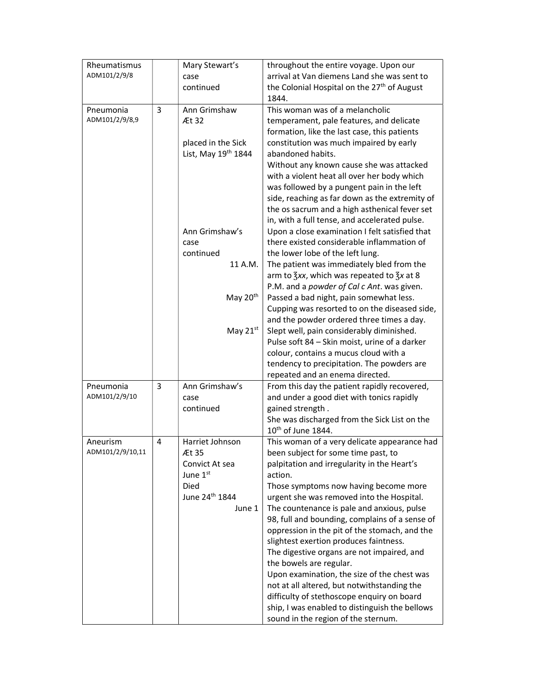| Rheumatismus     |   | Mary Stewart's                     | throughout the entire voyage. Upon our                                                  |
|------------------|---|------------------------------------|-----------------------------------------------------------------------------------------|
| ADM101/2/9/8     |   | case                               | arrival at Van diemens Land she was sent to                                             |
|                  |   | continued                          | the Colonial Hospital on the 27 <sup>th</sup> of August                                 |
|                  |   |                                    | 1844.                                                                                   |
| Pneumonia        | 3 | Ann Grimshaw                       | This woman was of a melancholic                                                         |
| ADM101/2/9/8,9   |   | Æt 32                              | temperament, pale features, and delicate                                                |
|                  |   |                                    | formation, like the last case, this patients                                            |
|                  |   | placed in the Sick                 | constitution was much impaired by early                                                 |
|                  |   | List, May 19 <sup>th</sup> 1844    | abandoned habits.                                                                       |
|                  |   |                                    | Without any known cause she was attacked                                                |
|                  |   |                                    | with a violent heat all over her body which                                             |
|                  |   |                                    | was followed by a pungent pain in the left                                              |
|                  |   |                                    | side, reaching as far down as the extremity of                                          |
|                  |   |                                    | the os sacrum and a high asthenical fever set                                           |
|                  |   |                                    | in, with a full tense, and accelerated pulse.                                           |
|                  |   | Ann Grimshaw's                     | Upon a close examination I felt satisfied that                                          |
|                  |   | case                               | there existed considerable inflammation of<br>the lower lobe of the left lung.          |
|                  |   | continued<br>11 A.M.               | The patient was immediately bled from the                                               |
|                  |   |                                    | arm to $\frac{2}{3}$ xx, which was repeated to $\frac{2}{3}x$ at 8                      |
|                  |   |                                    | P.M. and a powder of Cal c Ant. was given.                                              |
|                  |   | May 20 <sup>th</sup>               | Passed a bad night, pain somewhat less.                                                 |
|                  |   |                                    | Cupping was resorted to on the diseased side,                                           |
|                  |   |                                    | and the powder ordered three times a day.                                               |
|                  |   | May $21^{st}$                      | Slept well, pain considerably diminished.                                               |
|                  |   |                                    | Pulse soft 84 - Skin moist, urine of a darker                                           |
|                  |   |                                    | colour, contains a mucus cloud with a                                                   |
|                  |   |                                    | tendency to precipitation. The powders are                                              |
|                  |   |                                    | repeated and an enema directed.                                                         |
| Pneumonia        | 3 | Ann Grimshaw's                     | From this day the patient rapidly recovered,                                            |
| ADM101/2/9/10    |   | case                               | and under a good diet with tonics rapidly                                               |
|                  |   | continued                          | gained strength.                                                                        |
|                  |   |                                    | She was discharged from the Sick List on the                                            |
|                  |   |                                    | 10 <sup>th</sup> of June 1844.                                                          |
| Aneurism         | 4 | Harriet Johnson                    | This woman of a very delicate appearance had                                            |
| ADM101/2/9/10,11 |   | Æt 35                              | been subject for some time past, to                                                     |
|                  |   | Convict At sea                     | palpitation and irregularity in the Heart's                                             |
|                  |   | June 1st                           | action.                                                                                 |
|                  |   | Died<br>June 24 <sup>th</sup> 1844 | Those symptoms now having become more                                                   |
|                  |   |                                    | urgent she was removed into the Hospital.<br>The countenance is pale and anxious, pulse |
|                  |   | June 1                             | 98, full and bounding, complains of a sense of                                          |
|                  |   |                                    | oppression in the pit of the stomach, and the                                           |
|                  |   |                                    | slightest exertion produces faintness.                                                  |
|                  |   |                                    | The digestive organs are not impaired, and                                              |
|                  |   |                                    | the bowels are regular.                                                                 |
|                  |   |                                    | Upon examination, the size of the chest was                                             |
|                  |   |                                    | not at all altered, but notwithstanding the                                             |
|                  |   |                                    | difficulty of stethoscope enquiry on board                                              |
|                  |   |                                    | ship, I was enabled to distinguish the bellows                                          |
|                  |   |                                    | sound in the region of the sternum.                                                     |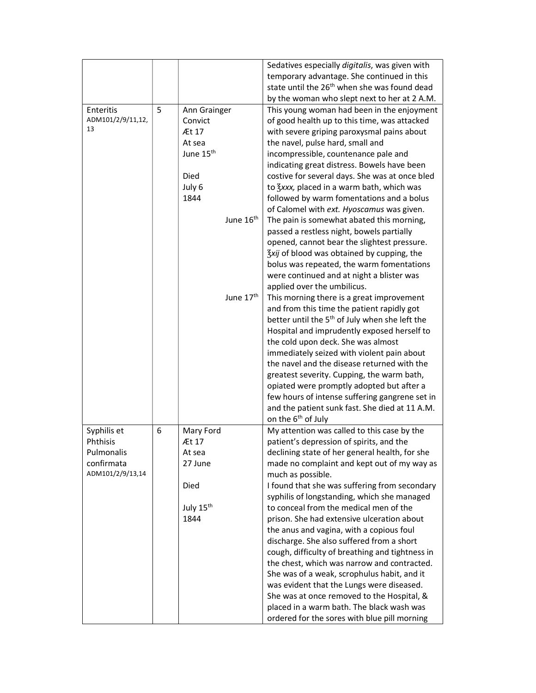|                   |   |                       | Sedatives especially digitalis, was given with                                        |
|-------------------|---|-----------------------|---------------------------------------------------------------------------------------|
|                   |   |                       | temporary advantage. She continued in this                                            |
|                   |   |                       | state until the 26 <sup>th</sup> when she was found dead                              |
|                   |   |                       | by the woman who slept next to her at 2 A.M.                                          |
| Enteritis         | 5 | Ann Grainger          | This young woman had been in the enjoyment                                            |
| ADM101/2/9/11,12, |   | Convict               | of good health up to this time, was attacked                                          |
| 13                |   | Æt 17                 | with severe griping paroxysmal pains about                                            |
|                   |   | At sea                | the navel, pulse hard, small and                                                      |
|                   |   | June 15 <sup>th</sup> | incompressible, countenance pale and                                                  |
|                   |   |                       | indicating great distress. Bowels have been                                           |
|                   |   | Died                  | costive for several days. She was at once bled                                        |
|                   |   | July 6                | to <i>Kxxx</i> , placed in a warm bath, which was                                     |
|                   |   | 1844                  | followed by warm fomentations and a bolus                                             |
|                   |   |                       | of Calomel with ext. Hyoscamus was given.                                             |
|                   |   | June 16 <sup>th</sup> | The pain is somewhat abated this morning,                                             |
|                   |   |                       | passed a restless night, bowels partially                                             |
|                   |   |                       | opened, cannot bear the slightest pressure.                                           |
|                   |   |                       | 3xij of blood was obtained by cupping, the                                            |
|                   |   |                       | bolus was repeated, the warm fomentations                                             |
|                   |   |                       | were continued and at night a blister was                                             |
|                   |   |                       | applied over the umbilicus.                                                           |
|                   |   | June 17 <sup>th</sup> | This morning there is a great improvement                                             |
|                   |   |                       | and from this time the patient rapidly got                                            |
|                   |   |                       | better until the 5 <sup>th</sup> of July when she left the                            |
|                   |   |                       | Hospital and imprudently exposed herself to                                           |
|                   |   |                       | the cold upon deck. She was almost                                                    |
|                   |   |                       | immediately seized with violent pain about                                            |
|                   |   |                       | the navel and the disease returned with the                                           |
|                   |   |                       | greatest severity. Cupping, the warm bath,                                            |
|                   |   |                       | opiated were promptly adopted but after a                                             |
|                   |   |                       | few hours of intense suffering gangrene set in                                        |
|                   |   |                       | and the patient sunk fast. She died at 11 A.M.                                        |
|                   |   |                       | on the 6 <sup>th</sup> of July                                                        |
| Syphilis et       | 6 | Mary Ford             | My attention was called to this case by the                                           |
| Phthisis          |   | Æt 17                 | patient's depression of spirits, and the                                              |
| Pulmonalis        |   | At sea                | declining state of her general health, for she                                        |
| confirmata        |   | 27 June               | made no complaint and kept out of my way as                                           |
| ADM101/2/9/13,14  |   |                       | much as possible.                                                                     |
|                   |   | Died                  | I found that she was suffering from secondary                                         |
|                   |   |                       | syphilis of longstanding, which she managed<br>to conceal from the medical men of the |
|                   |   | July 15th             | prison. She had extensive ulceration about                                            |
|                   |   | 1844                  |                                                                                       |
|                   |   |                       | the anus and vagina, with a copious foul<br>discharge. She also suffered from a short |
|                   |   |                       | cough, difficulty of breathing and tightness in                                       |
|                   |   |                       | the chest, which was narrow and contracted.                                           |
|                   |   |                       | She was of a weak, scrophulus habit, and it                                           |
|                   |   |                       | was evident that the Lungs were diseased.                                             |
|                   |   |                       | She was at once removed to the Hospital, &                                            |
|                   |   |                       | placed in a warm bath. The black wash was                                             |
|                   |   |                       | ordered for the sores with blue pill morning                                          |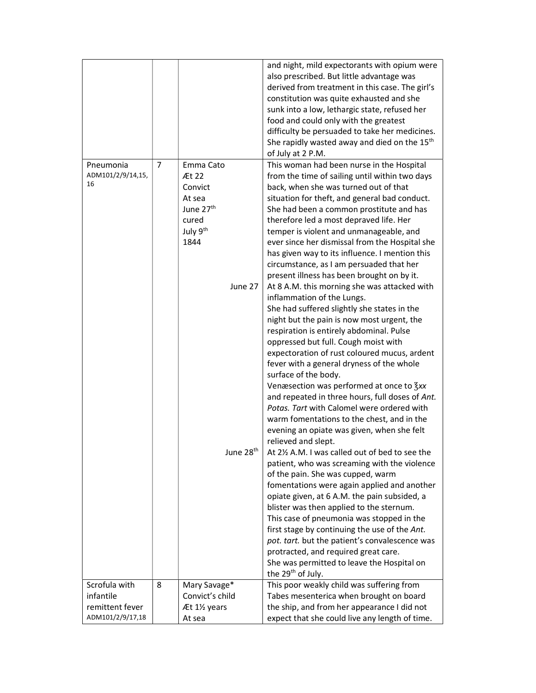|                                      |   |                                                                                                           | and night, mild expectorants with opium were<br>also prescribed. But little advantage was<br>derived from treatment in this case. The girl's<br>constitution was quite exhausted and she<br>sunk into a low, lethargic state, refused her<br>food and could only with the greatest<br>difficulty be persuaded to take her medicines.<br>She rapidly wasted away and died on the 15 <sup>th</sup><br>of July at 2 P.M.                                                                                                                                                                                                                            |
|--------------------------------------|---|-----------------------------------------------------------------------------------------------------------|--------------------------------------------------------------------------------------------------------------------------------------------------------------------------------------------------------------------------------------------------------------------------------------------------------------------------------------------------------------------------------------------------------------------------------------------------------------------------------------------------------------------------------------------------------------------------------------------------------------------------------------------------|
| Pneumonia<br>ADM101/2/9/14,15,<br>16 | 7 | Emma Cato<br>Æt 22<br>Convict<br>At sea<br>June 27 <sup>th</sup><br>cured<br>July 9 <sup>th</sup><br>1844 | This woman had been nurse in the Hospital<br>from the time of sailing until within two days<br>back, when she was turned out of that<br>situation for theft, and general bad conduct.<br>She had been a common prostitute and has<br>therefore led a most depraved life. Her<br>temper is violent and unmanageable, and<br>ever since her dismissal from the Hospital she<br>has given way to its influence. I mention this<br>circumstance, as I am persuaded that her<br>present illness has been brought on by it.                                                                                                                            |
|                                      |   | June 27                                                                                                   | At 8 A.M. this morning she was attacked with<br>inflammation of the Lungs.<br>She had suffered slightly she states in the<br>night but the pain is now most urgent, the<br>respiration is entirely abdominal. Pulse<br>oppressed but full. Cough moist with<br>expectoration of rust coloured mucus, ardent<br>fever with a general dryness of the whole<br>surface of the body.<br>Venæsection was performed at once to 3xx<br>and repeated in three hours, full doses of Ant.<br>Potas. Tart with Calomel were ordered with<br>warm fomentations to the chest, and in the<br>evening an opiate was given, when she felt<br>relieved and slept. |
|                                      |   | June 28 <sup>th</sup>                                                                                     | At 21/2 A.M. I was called out of bed to see the<br>patient, who was screaming with the violence<br>of the pain. She was cupped, warm<br>fomentations were again applied and another<br>opiate given, at 6 A.M. the pain subsided, a<br>blister was then applied to the sternum.<br>This case of pneumonia was stopped in the<br>first stage by continuing the use of the Ant.<br>pot. tart. but the patient's convalescence was<br>protracted, and required great care.<br>She was permitted to leave the Hospital on<br>the 29 <sup>th</sup> of July.                                                                                           |
| Scrofula with                        | 8 | Mary Savage*                                                                                              | This poor weakly child was suffering from                                                                                                                                                                                                                                                                                                                                                                                                                                                                                                                                                                                                        |
| infantile                            |   | Convict's child                                                                                           | Tabes mesenterica when brought on board                                                                                                                                                                                                                                                                                                                                                                                                                                                                                                                                                                                                          |
| remittent fever                      |   | Æt 1½ years                                                                                               | the ship, and from her appearance I did not                                                                                                                                                                                                                                                                                                                                                                                                                                                                                                                                                                                                      |
| ADM101/2/9/17,18                     |   | At sea                                                                                                    | expect that she could live any length of time.                                                                                                                                                                                                                                                                                                                                                                                                                                                                                                                                                                                                   |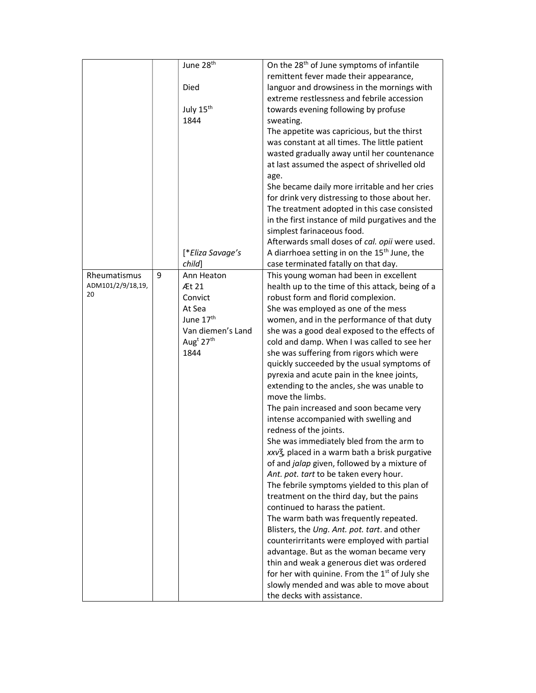| June 28 <sup>th</sup>           | On the 28 <sup>th</sup> of June symptoms of infantile                                        |
|---------------------------------|----------------------------------------------------------------------------------------------|
|                                 | remittent fever made their appearance,                                                       |
| Died                            | languor and drowsiness in the mornings with                                                  |
|                                 | extreme restlessness and febrile accession                                                   |
| July 15 <sup>th</sup>           | towards evening following by profuse                                                         |
| 1844<br>sweating.               |                                                                                              |
|                                 | The appetite was capricious, but the thirst                                                  |
|                                 | was constant at all times. The little patient                                                |
|                                 | wasted gradually away until her countenance                                                  |
|                                 | at last assumed the aspect of shrivelled old                                                 |
| age.                            |                                                                                              |
|                                 | She became daily more irritable and her cries                                                |
|                                 | for drink very distressing to those about her.                                               |
|                                 | The treatment adopted in this case consisted                                                 |
|                                 | in the first instance of mild purgatives and the                                             |
|                                 | simplest farinaceous food.                                                                   |
|                                 | Afterwards small doses of cal. opii were used.                                               |
| [*Eliza Savage's                | A diarrhoea setting in on the 15 <sup>th</sup> June, the                                     |
| child]                          | case terminated fatally on that day.                                                         |
| Rheumatismus<br>9<br>Ann Heaton | This young woman had been in excellent                                                       |
| ADM101/2/9/18,19,<br>Æt 21      | health up to the time of this attack, being of a                                             |
| 20<br>Convict                   | robust form and florid complexion.                                                           |
| At Sea                          | She was employed as one of the mess                                                          |
| June 17 <sup>th</sup>           | women, and in the performance of that duty                                                   |
| Van diemen's Land               | she was a good deal exposed to the effects of                                                |
| Aug <sup>t</sup> $27th$         | cold and damp. When I was called to see her                                                  |
| 1844                            | she was suffering from rigors which were                                                     |
|                                 | quickly succeeded by the usual symptoms of                                                   |
|                                 |                                                                                              |
|                                 | pyrexia and acute pain in the knee joints,                                                   |
|                                 | extending to the ancles, she was unable to                                                   |
|                                 | move the limbs.                                                                              |
|                                 | The pain increased and soon became very                                                      |
|                                 | intense accompanied with swelling and                                                        |
|                                 | redness of the joints.                                                                       |
|                                 | She was immediately bled from the arm to                                                     |
|                                 | xxv3, placed in a warm bath a brisk purgative                                                |
|                                 | of and jalap given, followed by a mixture of                                                 |
|                                 | Ant. pot. tart to be taken every hour.                                                       |
|                                 | The febrile symptoms yielded to this plan of                                                 |
|                                 | treatment on the third day, but the pains                                                    |
|                                 | continued to harass the patient.                                                             |
|                                 | The warm bath was frequently repeated.                                                       |
|                                 | Blisters, the Ung. Ant. pot. tart. and other                                                 |
|                                 | counterirritants were employed with partial                                                  |
|                                 | advantage. But as the woman became very                                                      |
|                                 | thin and weak a generous diet was ordered                                                    |
|                                 |                                                                                              |
|                                 |                                                                                              |
|                                 | for her with quinine. From the $1st$ of July she<br>slowly mended and was able to move about |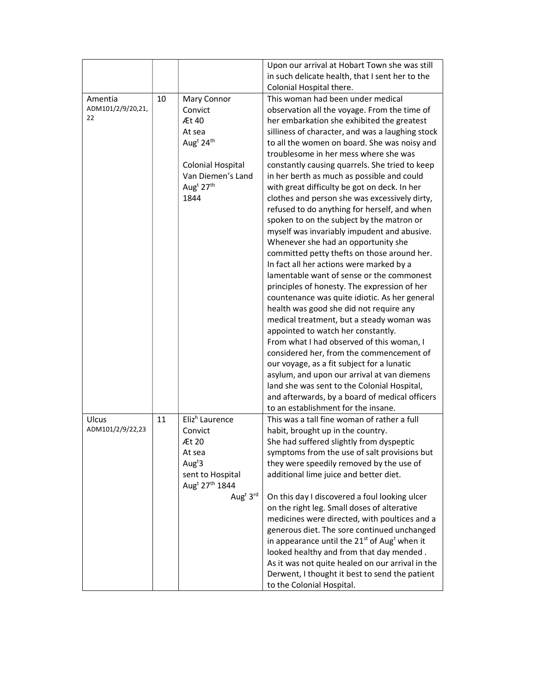|                              |    |                                        | Upon our arrival at Hobart Town she was still                 |
|------------------------------|----|----------------------------------------|---------------------------------------------------------------|
|                              |    |                                        | in such delicate health, that I sent her to the               |
|                              |    |                                        | Colonial Hospital there.                                      |
|                              | 10 |                                        | This woman had been under medical                             |
| Amentia<br>ADM101/2/9/20,21, |    | Mary Connor                            |                                                               |
| 22                           |    | Convict                                | observation all the voyage. From the time of                  |
|                              |    | Æt 40                                  | her embarkation she exhibited the greatest                    |
|                              |    | At sea                                 | silliness of character, and was a laughing stock              |
|                              |    | Aug <sup>t</sup> 24 <sup>th</sup>      | to all the women on board. She was noisy and                  |
|                              |    |                                        | troublesome in her mess where she was                         |
|                              |    | <b>Colonial Hospital</b>               | constantly causing quarrels. She tried to keep                |
|                              |    | Van Diemen's Land                      | in her berth as much as possible and could                    |
|                              |    | Aug <sup>t</sup> 27 <sup>th</sup>      | with great difficulty be got on deck. In her                  |
|                              |    | 1844                                   | clothes and person she was excessively dirty,                 |
|                              |    |                                        | refused to do anything for herself, and when                  |
|                              |    |                                        | spoken to on the subject by the matron or                     |
|                              |    |                                        | myself was invariably impudent and abusive.                   |
|                              |    |                                        | Whenever she had an opportunity she                           |
|                              |    |                                        | committed petty thefts on those around her.                   |
|                              |    |                                        | In fact all her actions were marked by a                      |
|                              |    |                                        | lamentable want of sense or the commonest                     |
|                              |    |                                        | principles of honesty. The expression of her                  |
|                              |    |                                        | countenance was quite idiotic. As her general                 |
|                              |    |                                        | health was good she did not require any                       |
|                              |    |                                        | medical treatment, but a steady woman was                     |
|                              |    |                                        | appointed to watch her constantly.                            |
|                              |    |                                        | From what I had observed of this woman, I                     |
|                              |    |                                        | considered her, from the commencement of                      |
|                              |    |                                        | our voyage, as a fit subject for a lunatic                    |
|                              |    |                                        |                                                               |
|                              |    |                                        | asylum, and upon our arrival at van diemens                   |
|                              |    |                                        | land she was sent to the Colonial Hospital,                   |
|                              |    |                                        | and afterwards, by a board of medical officers                |
|                              |    |                                        | to an establishment for the insane.                           |
| Ulcus                        | 11 | Eliz <sup>h</sup> Laurence             | This was a tall fine woman of rather a full                   |
| ADM101/2/9/22,23             |    | Convict                                | habit, brought up in the country.                             |
|                              |    | Æt 20                                  | She had suffered slightly from dyspeptic                      |
|                              |    | At sea                                 | symptoms from the use of salt provisions but                  |
|                              |    | Aug <sup>t</sup> $3$                   | they were speedily removed by the use of                      |
|                              |    | sent to Hospital                       | additional lime juice and better diet.                        |
|                              |    | Aug <sup>t</sup> 27 <sup>th</sup> 1844 |                                                               |
|                              |    | Aug <sup>t</sup> 3rd                   | On this day I discovered a foul looking ulcer                 |
|                              |    |                                        | on the right leg. Small doses of alterative                   |
|                              |    |                                        | medicines were directed, with poultices and a                 |
|                              |    |                                        | generous diet. The sore continued unchanged                   |
|                              |    |                                        | in appearance until the $21^{st}$ of Aug <sup>t</sup> when it |
|                              |    |                                        | looked healthy and from that day mended.                      |
|                              |    |                                        | As it was not quite healed on our arrival in the              |
|                              |    |                                        | Derwent, I thought it best to send the patient                |
|                              |    |                                        | to the Colonial Hospital.                                     |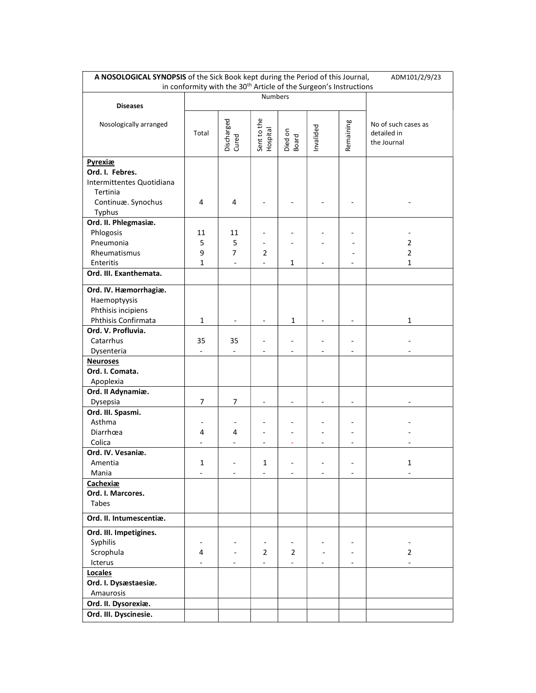| A NOSOLOGICAL SYNOPSIS of the Sick Book kept during the Period of this Journal,<br>ADM101/2/9/23 |                |                     |                         |                  |           |           |                                  |
|--------------------------------------------------------------------------------------------------|----------------|---------------------|-------------------------|------------------|-----------|-----------|----------------------------------|
| in conformity with the 30 <sup>th</sup> Article of the Surgeon's Instructions                    |                |                     |                         |                  |           |           |                                  |
|                                                                                                  | Numbers        |                     |                         |                  |           |           |                                  |
| <b>Diseases</b>                                                                                  |                |                     |                         |                  |           |           |                                  |
| Nosologically arranged                                                                           |                |                     |                         |                  |           |           | No of such cases as              |
|                                                                                                  | Total          | Discharged<br>Cured | Sent to the<br>Hospital |                  | Invalided | Remaining | detailed in                      |
|                                                                                                  |                |                     |                         | Died on<br>Board |           |           | the Journal                      |
|                                                                                                  |                |                     |                         |                  |           |           |                                  |
| Pyrexiæ                                                                                          |                |                     |                         |                  |           |           |                                  |
| Ord. I. Febres.                                                                                  |                |                     |                         |                  |           |           |                                  |
| Intermittentes Quotidiana                                                                        |                |                     |                         |                  |           |           |                                  |
| Tertinia                                                                                         |                |                     |                         |                  |           |           |                                  |
| Continuæ. Synochus                                                                               | 4              | 4                   |                         |                  |           |           |                                  |
| Typhus                                                                                           |                |                     |                         |                  |           |           |                                  |
| Ord. II. Phlegmasiæ.                                                                             |                |                     |                         |                  |           |           |                                  |
| Phlogosis                                                                                        | 11             | 11                  |                         |                  |           |           |                                  |
| Pneumonia                                                                                        | 5              | 5<br>7              |                         |                  |           |           | $\overline{2}$<br>$\overline{2}$ |
| Rheumatismus<br>Enteritis                                                                        | 9<br>1         |                     | 2                       | 1                |           |           | 1                                |
| Ord. III. Exanthemata.                                                                           |                |                     |                         |                  |           |           |                                  |
|                                                                                                  |                |                     |                         |                  |           |           |                                  |
| Ord. IV. Hæmorrhagiæ.                                                                            |                |                     |                         |                  |           |           |                                  |
| Haemoptyysis                                                                                     |                |                     |                         |                  |           |           |                                  |
| Phthisis incipiens                                                                               |                |                     |                         |                  |           |           |                                  |
| Phthisis Confirmata                                                                              | $\mathbf{1}$   |                     |                         | $\mathbf{1}$     |           |           | 1                                |
| Ord. V. Profluvia.                                                                               |                |                     |                         |                  |           |           |                                  |
| Catarrhus                                                                                        | 35             | 35                  |                         |                  |           |           |                                  |
| Dysenteria                                                                                       | $\blacksquare$ |                     |                         |                  |           |           |                                  |
| <b>Neuroses</b>                                                                                  |                |                     |                         |                  |           |           |                                  |
| Ord. I. Comata.                                                                                  |                |                     |                         |                  |           |           |                                  |
| Apoplexia                                                                                        |                |                     |                         |                  |           |           |                                  |
| Ord. II Adynamiæ.                                                                                |                |                     |                         |                  |           |           |                                  |
| Dysepsia                                                                                         | 7              | 7                   |                         |                  |           |           |                                  |
| Ord. III. Spasmi.                                                                                |                |                     |                         |                  |           |           |                                  |
| Asthma                                                                                           |                |                     |                         |                  |           |           |                                  |
| Diarrhœa                                                                                         | 4              | 4                   |                         |                  |           |           |                                  |
| Colica                                                                                           |                |                     |                         |                  |           |           |                                  |
| Ord. IV. Vesaniæ.                                                                                |                |                     |                         |                  |           |           |                                  |
| Amentia<br>Mania                                                                                 | 1              |                     | 1                       |                  |           |           |                                  |
| Cachexiæ                                                                                         |                |                     |                         |                  |           |           |                                  |
| Ord. I. Marcores.                                                                                |                |                     |                         |                  |           |           |                                  |
| Tabes                                                                                            |                |                     |                         |                  |           |           |                                  |
|                                                                                                  |                |                     |                         |                  |           |           |                                  |
| Ord. II. Intumescentiæ.                                                                          |                |                     |                         |                  |           |           |                                  |
| Ord. III. Impetigines.                                                                           |                |                     |                         |                  |           |           |                                  |
| Syphilis                                                                                         |                |                     |                         |                  |           |           |                                  |
| Scrophula                                                                                        | 4              |                     | $\overline{2}$          | $\overline{2}$   |           |           | $\overline{2}$                   |
| Icterus                                                                                          |                |                     |                         |                  |           |           |                                  |
| Locales                                                                                          |                |                     |                         |                  |           |           |                                  |
| Ord. I. Dysæstaesiæ.                                                                             |                |                     |                         |                  |           |           |                                  |
| Amaurosis                                                                                        |                |                     |                         |                  |           |           |                                  |
| Ord. II. Dysorexiæ.                                                                              |                |                     |                         |                  |           |           |                                  |
| Ord. III. Dyscinesie.                                                                            |                |                     |                         |                  |           |           |                                  |